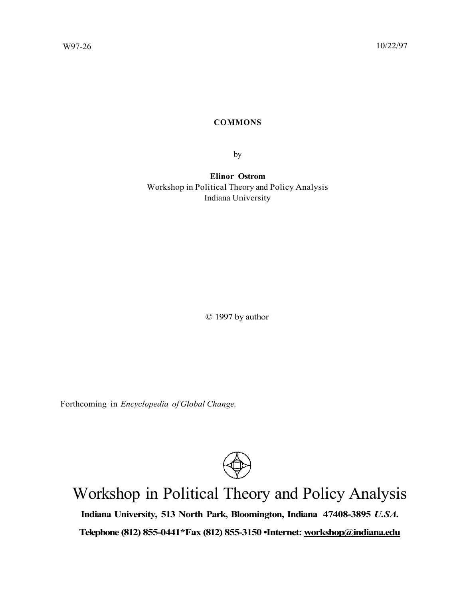## **COMMONS**

by

**Elinor Ostrom**  Workshop in Political Theory and Policy Analysis Indiana University

© 1997 by author

Forthcoming in *Encyclopedia of Global Change.* 



Workshop in Political Theory and Policy Analysis **Indiana University, 513 North Park, Bloomington, Indiana 47408-3895** *U.SA.*  **Telephone (812) 855-0441\*Fax (812) 855-3150 •Internet: [workshop@indiana.edu](mailto:workshop@indiana.edu)**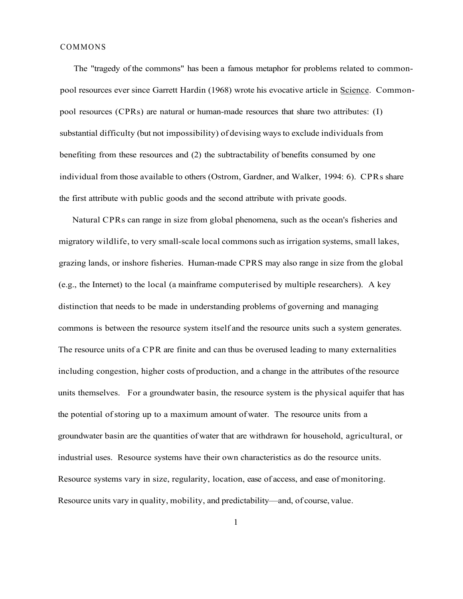## COMMONS

The "tragedy of the commons" has been a famous metaphor for problems related to commonpool resources ever since Garrett Hardin (1968) wrote his evocative article in <u>Science</u>. Commonpool resources (CPRs) are natural or human-made resources that share two attributes: (I) substantial difficulty (but not impossibility) of devising ways to exclude individuals from benefiting from these resources and (2) the subtractability of benefits consumed by one individual from those available to others (Ostrom, Gardner, and Walker, 1994: 6). CPRs share the first attribute with public goods and the second attribute with private goods.

Natural CPRs can range in size from global phenomena, such as the ocean's fisheries and migratory wildlife, to very small-scale local commons such as irrigation systems, small lakes, grazing lands, or inshore fisheries. Human-made CPRS may also range in size from the global (e.g., the Internet) to the local (a mainframe computerised by multiple researchers). A key distinction that needs to be made in understanding problems of governing and managing commons is between the resource system itself and the resource units such a system generates. The resource units of a CPR are finite and can thus be overused leading to many externalities including congestion, higher costs of production, and a change in the attributes of the resource units themselves. For a groundwater basin, the resource system is the physical aquifer that has the potential of storing up to a maximum amount of water. The resource units from a groundwater basin are the quantities of water that are withdrawn for household, agricultural, or industrial uses. Resource systems have their own characteristics as do the resource units. Resource systems vary in size, regularity, location, ease of access, and ease of monitoring. Resource units vary in quality, mobility, and predictability—and, of course, value.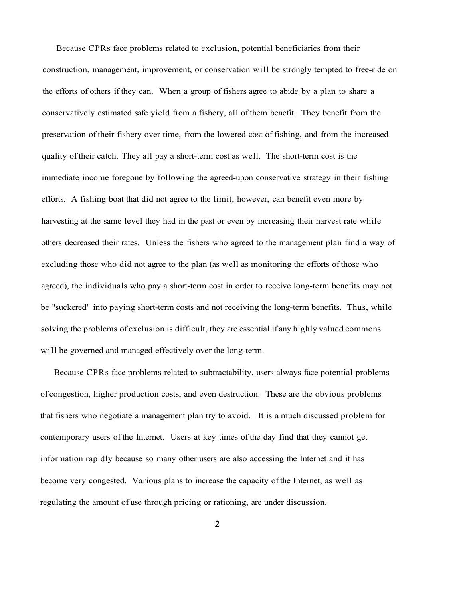Because CPRs face problems related to exclusion, potential beneficiaries from their construction, management, improvement, or conservation will be strongly tempted to free-ride on the efforts of others if they can. When a group of fishers agree to abide by a plan to share a conservatively estimated safe yield from a fishery, all of them benefit. They benefit from the preservation of their fishery over time, from the lowered cost of fishing, and from the increased quality of their catch. They all pay a short-term cost as well. The short-term cost is the immediate income foregone by following the agreed-upon conservative strategy in their fishing efforts. A fishing boat that did not agree to the limit, however, can benefit even more by harvesting at the same level they had in the past or even by increasing their harvest rate while others decreased their rates. Unless the fishers who agreed to the management plan find a way of excluding those who did not agree to the plan (as well as monitoring the efforts of those who agreed), the individuals who pay a short-term cost in order to receive long-term benefits may not be "suckered" into paying short-term costs and not receiving the long-term benefits. Thus, while solving the problems of exclusion is difficult, they are essential if any highly valued commons will be governed and managed effectively over the long-term.

Because CPRs face problems related to subtractability, users always face potential problems of congestion, higher production costs, and even destruction. These are the obvious problems that fishers who negotiate a management plan try to avoid. It is a much discussed problem for contemporary users of the Internet. Users at key times of the day find that they cannot get information rapidly because so many other users are also accessing the Internet and it has become very congested. Various plans to increase the capacity of the Internet, as well as regulating the amount of use through pricing or rationing, are under discussion.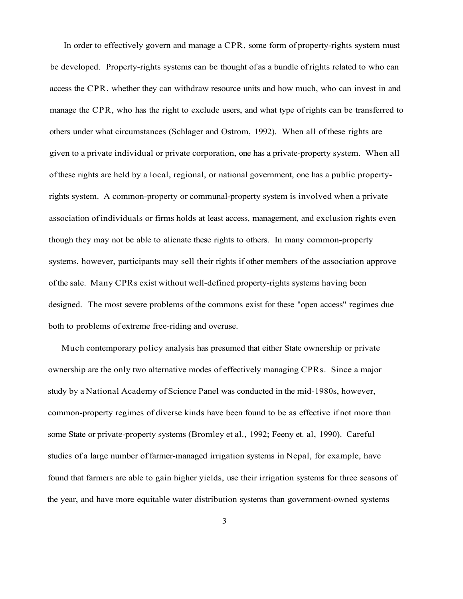In order to effectively govern and manage a CPR, some form of property-rights system must be developed. Property-rights systems can be thought of as a bundle of rights related to who can access the CPR, whether they can withdraw resource units and how much, who can invest in and manage the CPR, who has the right to exclude users, and what type of rights can be transferred to others under what circumstances (Schlager and Ostrom, 1992). When all of these rights are given to a private individual or private corporation, one has a private-property system. When all of these rights are held by a local, regional, or national government, one has a public propertyrights system. A common-property or communal-property system is involved when a private association of individuals or firms holds at least access, management, and exclusion rights even though they may not be able to alienate these rights to others. In many common-property systems, however, participants may sell their rights if other members of the association approve of the sale. Many CPRs exist without well-defined property-rights systems having been designed. The most severe problems of the commons exist for these "open access" regimes due both to problems of extreme free-riding and overuse.

Much contemporary policy analysis has presumed that either State ownership or private ownership are the only two alternative modes of effectively managing CPRs. Since a major study by a National Academy of Science Panel was conducted in the mid-1980s, however, common-property regimes of diverse kinds have been found to be as effective if not more than some State or private-property systems (Bromley et al., 1992; Feeny et. al, 1990). Careful studies of a large number of farmer-managed irrigation systems in Nepal, for example, have found that farmers are able to gain higher yields, use their irrigation systems for three seasons of the year, and have more equitable water distribution systems than government-owned systems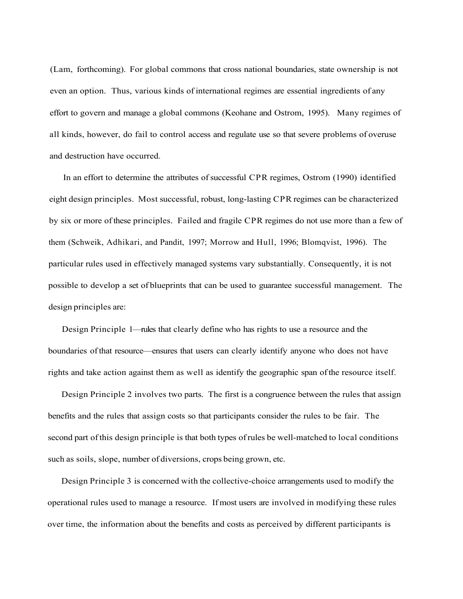(Lam, forthcoming). For global commons that cross national boundaries, state ownership is not even an option. Thus, various kinds of international regimes are essential ingredients of any effort to govern and manage a global commons (Keohane and Ostrom, 1995). Many regimes of all kinds, however, do fail to control access and regulate use so that severe problems of overuse and destruction have occurred.

In an effort to determine the attributes of successful CPR regimes, Ostrom (1990) identified eight design principles. Most successful, robust, long-lasting CPR regimes can be characterized by six or more of these principles. Failed and fragile CPR regimes do not use more than a few of them (Schweik, Adhikari, and Pandit, 1997; Morrow and Hull, 1996; Blomqvist, 1996). The particular rules used in effectively managed systems vary substantially. Consequently, it is not possible to develop a set of blueprints that can be used to guarantee successful management. The design principles are:

Design Principle 1—rules that clearly define who has rights to use a resource and the boundaries of that resource—ensures that users can clearly identify anyone who does not have rights and take action against them as well as identify the geographic span of the resource itself.

Design Principle 2 involves two parts. The first is a congruence between the rules that assign benefits and the rules that assign costs so that participants consider the rules to be fair. The second part of this design principle is that both types of rules be well-matched to local conditions such as soils, slope, number of diversions, crops being grown, etc.

Design Principle 3 is concerned with the collective-choice arrangements used to modify the operational rules used to manage a resource. If most users are involved in modifying these rules over time, the information about the benefits and costs as perceived by different participants is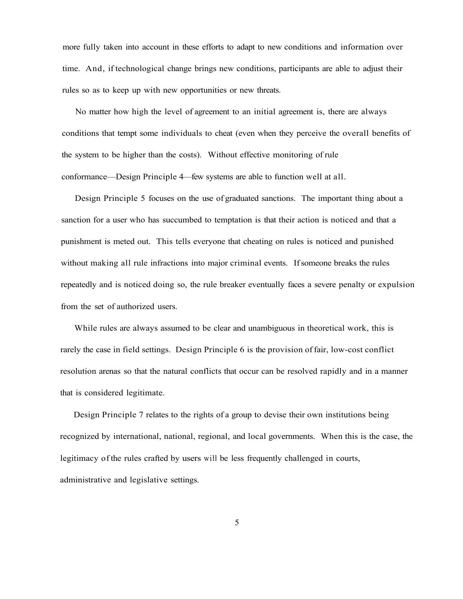more fully taken into account in these efforts to adapt to new conditions and information over time. And, if technological change brings new conditions, participants are able to adjust their rules so as to keep up with new opportunities or new threats.

No matter how high the level of agreement to an initial agreement is, there are always conditions that tempt some individuals to cheat (even when they perceive the overall benefits of the system to be higher than the costs). Without effective monitoring of rule conformance—Design Principle 4—few systems are able to function well at all.

Design Principle 5 focuses on the use of graduated sanctions. The important thing about a sanction for a user who has succumbed to temptation is that their action is noticed and that a punishment is meted out. This tells everyone that cheating on rules is noticed and punished without making all rule infractions into major criminal events. If someone breaks the rules repeatedly and is noticed doing so, the rule breaker eventually faces a severe penalty or expulsion from the set of authorized users.

While rules are always assumed to be clear and unambiguous in theoretical work, this is rarely the case in field settings. Design Principle 6 is the provision of fair, low-cost conflict resolution arenas so that the natural conflicts that occur can be resolved rapidly and in a manner that is considered legitimate.

Design Principle 7 relates to the rights of a group to devise their own institutions being recognized by international, national, regional, and local governments. When this is the case, the legitimacy of the rules crafted by users will be less frequently challenged in courts, administrative and legislative settings.

5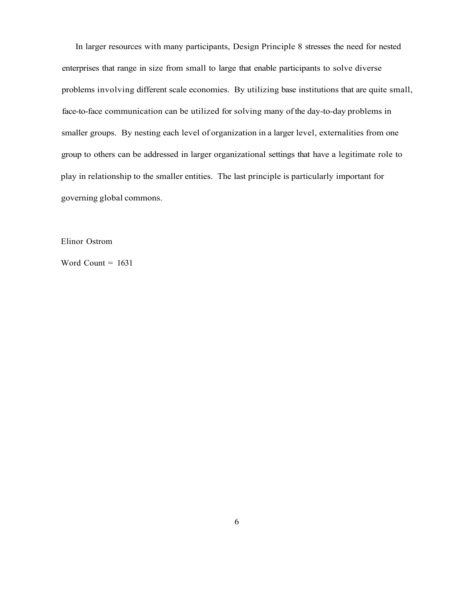In larger resources with many participants, Design Principle 8 stresses the need for nested enterprises that range in size from small to large that enable participants to solve diverse problems involving different scale economies. By utilizing base institutions that are quite small, face-to-face communication can be utilized for solving many of the day-to-day problems in smaller groups. By nesting each level of organization in a larger level, externalities from one group to others can be addressed in larger organizational settings that have a legitimate role to play in relationship to the smaller entities. The last principle is particularly important for governing global commons.

Elinor Ostrom

Word Count  $= 1631$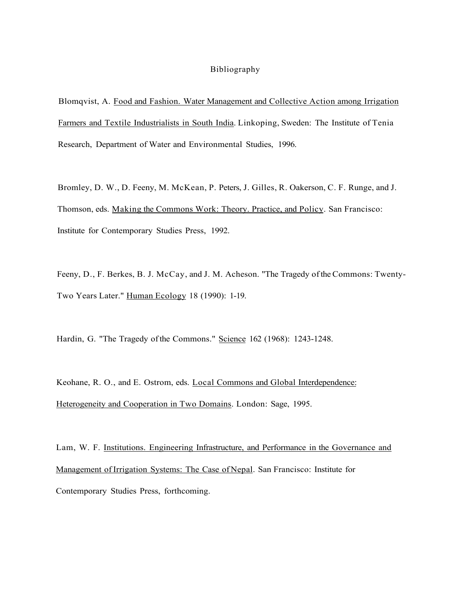## Bibliography

Blomqvist, A. Food and Fashion. Water Management and Collective Action among Irrigation Farmers and Textile Industrialists in South India. Linkoping, Sweden: The Institute of Tenia Research, Department of Water and Environmental Studies, 1996.

Bromley, D. W., D. Feeny, M. McKean, P. Peters, J. Gilles, R. Oakerson, C. F. Runge, and J. Thomson, eds. Making the Commons Work: Theory. Practice, and Policy. San Francisco: Institute for Contemporary Studies Press, 1992.

Feeny, D., F. Berkes, B. J. McCay, and J. M. Acheson. "The Tragedy of the Commons: Twenty-Two Years Later." Human Ecology 18 (1990): 1-19.

Hardin, G. "The Tragedy of the Commons." Science 162 (1968): 1243-1248.

Keohane, R. O., and E. Ostrom, eds. Local Commons and Global Interdependence: Heterogeneity and Cooperation in Two Domains. London: Sage, 1995.

Lam, W. F. Institutions. Engineering Infrastructure, and Performance in the Governance and Management of Irrigation Systems: The Case of Nepal. San Francisco: Institute for Contemporary Studies Press, forthcoming.